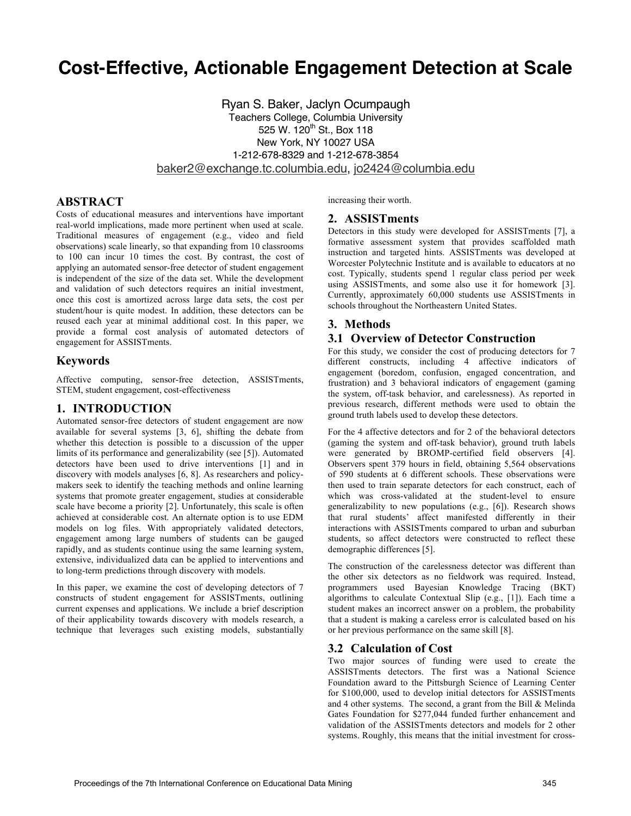# **Cost-Effective, Actionable Engagement Detection at Scale**

Ryan S. Baker, Jaclyn Ocumpaugh Teachers College, Columbia University 525 W. 120<sup>th</sup> St., Box 118 New York, NY 10027 USA 1-212-678-8329 and 1-212-678-3854 baker2@exchange.tc.columbia.edu, jo2424@columbia.edu

# **ABSTRACT**

Costs of educational measures and interventions have important real-world implications, made more pertinent when used at scale. Traditional measures of engagement (e.g., video and field observations) scale linearly, so that expanding from 10 classrooms to 100 can incur 10 times the cost. By contrast, the cost of applying an automated sensor-free detector of student engagement is independent of the size of the data set. While the development and validation of such detectors requires an initial investment, once this cost is amortized across large data sets, the cost per student/hour is quite modest. In addition, these detectors can be reused each year at minimal additional cost. In this paper, we provide a formal cost analysis of automated detectors of engagement for ASSISTments.

### **Keywords**

Affective computing, sensor-free detection, ASSISTments, STEM, student engagement, cost-effectiveness

# **1. INTRODUCTION**

Automated sensor-free detectors of student engagement are now available for several systems [3, 6], shifting the debate from whether this detection is possible to a discussion of the upper limits of its performance and generalizability (see [5]). Automated detectors have been used to drive interventions [1] and in discovery with models analyses [6, 8]. As researchers and policymakers seek to identify the teaching methods and online learning systems that promote greater engagement, studies at considerable scale have become a priority [2]. Unfortunately, this scale is often achieved at considerable cost. An alternate option is to use EDM models on log files. With appropriately validated detectors, engagement among large numbers of students can be gauged rapidly, and as students continue using the same learning system, extensive, individualized data can be applied to interventions and to long-term predictions through discovery with models.

In this paper, we examine the cost of developing detectors of 7 constructs of student engagement for ASSISTments, outlining current expenses and applications. We include a brief description of their applicability towards discovery with models research, a technique that leverages such existing models, substantially increasing their worth.

#### **2. ASSISTments**

Detectors in this study were developed for ASSISTments [7], a formative assessment system that provides scaffolded math instruction and targeted hints. ASSISTments was developed at Worcester Polytechnic Institute and is available to educators at no cost. Typically, students spend 1 regular class period per week using ASSISTments, and some also use it for homework [3]. Currently, approximately 60,000 students use ASSISTments in schools throughout the Northeastern United States.

# **3. Methods**

### **3.1 Overview of Detector Construction**

For this study, we consider the cost of producing detectors for 7 different constructs, including 4 affective indicators of engagement (boredom, confusion, engaged concentration, and frustration) and 3 behavioral indicators of engagement (gaming the system, off-task behavior, and carelessness). As reported in previous research, different methods were used to obtain the ground truth labels used to develop these detectors.

For the 4 affective detectors and for 2 of the behavioral detectors (gaming the system and off-task behavior), ground truth labels were generated by BROMP-certified field observers [4]. Observers spent 379 hours in field, obtaining 5,564 observations of 590 students at 6 different schools. These observations were then used to train separate detectors for each construct, each of which was cross-validated at the student-level to ensure generalizability to new populations (e.g., [6]). Research shows that rural students' affect manifested differently in their interactions with ASSISTments compared to urban and suburban students, so affect detectors were constructed to reflect these demographic differences [5].

The construction of the carelessness detector was different than the other six detectors as no fieldwork was required. Instead, programmers used Bayesian Knowledge Tracing (BKT) algorithms to calculate Contextual Slip (e.g., [1]). Each time a student makes an incorrect answer on a problem, the probability that a student is making a careless error is calculated based on his or her previous performance on the same skill [8].

### **3.2 Calculation of Cost**

Two major sources of funding were used to create the ASSISTments detectors. The first was a National Science Foundation award to the Pittsburgh Science of Learning Center for \$100,000, used to develop initial detectors for ASSISTments and 4 other systems. The second, a grant from the Bill & Melinda Gates Foundation for \$277,044 funded further enhancement and validation of the ASSISTments detectors and models for 2 other systems. Roughly, this means that the initial investment for cross